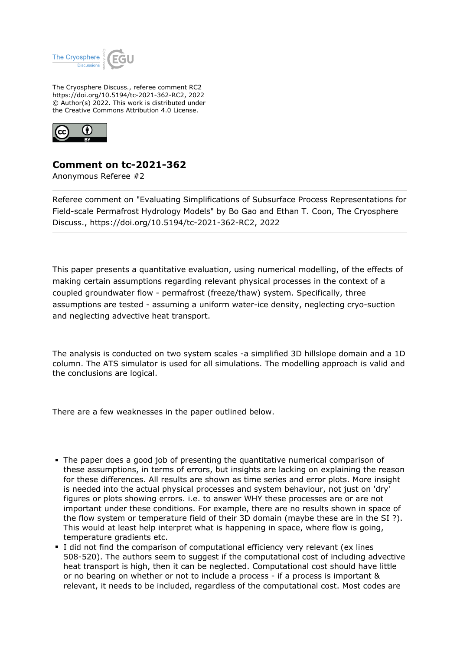

The Cryosphere Discuss., referee comment RC2 https://doi.org/10.5194/tc-2021-362-RC2, 2022 © Author(s) 2022. This work is distributed under the Creative Commons Attribution 4.0 License.



## **Comment on tc-2021-362**

Anonymous Referee #2

Referee comment on "Evaluating Simplifications of Subsurface Process Representations for Field-scale Permafrost Hydrology Models" by Bo Gao and Ethan T. Coon, The Cryosphere Discuss., https://doi.org/10.5194/tc-2021-362-RC2, 2022

This paper presents a quantitative evaluation, using numerical modelling, of the effects of making certain assumptions regarding relevant physical processes in the context of a coupled groundwater flow - permafrost (freeze/thaw) system. Specifically, three assumptions are tested - assuming a uniform water-ice density, neglecting cryo-suction and neglecting advective heat transport.

The analysis is conducted on two system scales -a simplified 3D hillslope domain and a 1D column. The ATS simulator is used for all simulations. The modelling approach is valid and the conclusions are logical.

There are a few weaknesses in the paper outlined below.

- The paper does a good job of presenting the quantitative numerical comparison of these assumptions, in terms of errors, but insights are lacking on explaining the reason for these differences. All results are shown as time series and error plots. More insight is needed into the actual physical processes and system behaviour, not just on 'dry' figures or plots showing errors. i.e. to answer WHY these processes are or are not important under these conditions. For example, there are no results shown in space of the flow system or temperature field of their 3D domain (maybe these are in the SI ?). This would at least help interpret what is happening in space, where flow is going, temperature gradients etc.
- I did not find the comparison of computational efficiency very relevant (ex lines 508-520). The authors seem to suggest if the computational cost of including advective heat transport is high, then it can be neglected. Computational cost should have little or no bearing on whether or not to include a process - if a process is important & relevant, it needs to be included, regardless of the computational cost. Most codes are